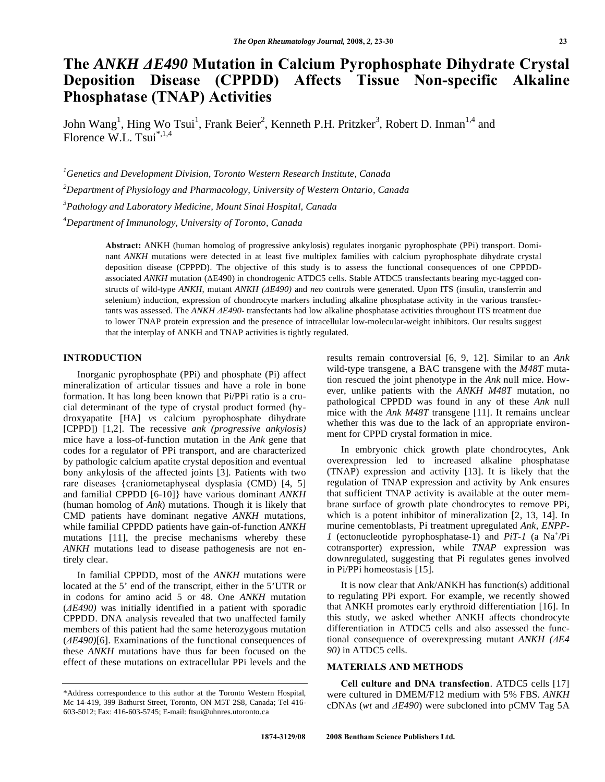# **The** *ANKH E490* **Mutation in Calcium Pyrophosphate Dihydrate Crystal Deposition Disease (CPPDD) Affects Tissue Non-specific Alkaline Phosphatase (TNAP) Activities**

John Wang<sup>1</sup>, Hing Wo Tsui<sup>1</sup>, Frank Beier<sup>2</sup>, Kenneth P.H. Pritzker<sup>3</sup>, Robert D. Inman<sup>1,4</sup> and Florence W.L. Tsui $^{*,1,4}$ 

 *Genetics and Development Division, Toronto Western Research Institute, Canada Department of Physiology and Pharmacology, University of Western Ontario, Canada Pathology and Laboratory Medicine, Mount Sinai Hospital, Canada Department of Immunology, University of Toronto, Canada* 

> **Abstract:** ANKH (human homolog of progressive ankylosis) regulates inorganic pyrophosphate (PPi) transport. Dominant *ANKH* mutations were detected in at least five multiplex families with calcium pyrophosphate dihydrate crystal deposition disease (CPPPD). The objective of this study is to assess the functional consequences of one CPPDDassociated *ANKH* mutation ( $\triangle E490$ ) in chondrogenic ATDC5 cells. Stable ATDC5 transfectants bearing myc-tagged constructs of wild-type *ANKH*, mutant *ANKH (E490)* and *neo* controls were generated. Upon ITS (insulin, transferrin and selenium) induction, expression of chondrocyte markers including alkaline phosphatase activity in the various transfectants was assessed. The *ANKH E490-* transfectants had low alkaline phosphatase activities throughout ITS treatment due to lower TNAP protein expression and the presence of intracellular low-molecular-weight inhibitors. Our results suggest that the interplay of ANKH and TNAP activities is tightly regulated.

# **INTRODUCTION**

 Inorganic pyrophosphate (PPi) and phosphate (Pi) affect mineralization of articular tissues and have a role in bone formation. It has long been known that Pi/PPi ratio is a crucial determinant of the type of crystal product formed (hydroxyapatite [HA] *vs* calcium pyrophosphate dihydrate [CPPD]) [1,2]. The recessive *ank (progressive ankylosis)* mice have a loss-of-function mutation in the *Ank* gene that codes for a regulator of PPi transport, and are characterized by pathologic calcium apatite crystal deposition and eventual bony ankylosis of the affected joints [3]. Patients with two rare diseases {craniometaphyseal dysplasia (CMD) [4, 5] and familial CPPDD [6-10]} have various dominant *ANKH* (human homolog of *Ank*) mutations. Though it is likely that CMD patients have dominant negative *ANKH* mutations, while familial CPPDD patients have gain-of-function *ANKH* mutations [11], the precise mechanisms whereby these *ANKH* mutations lead to disease pathogenesis are not entirely clear.

 In familial CPPDD, most of the *ANKH* mutations were located at the 5' end of the transcript, either in the 5'UTR or in codons for amino acid 5 or 48. One *ANKH* mutation (*E490)* was initially identified in a patient with sporadic CPPDD. DNA analysis revealed that two unaffected family members of this patient had the same heterozygous mutation (*E490)*[6]. Examinations of the functional consequences of these *ANKH* mutations have thus far been focused on the effect of these mutations on extracellular PPi levels and the

results remain controversial [6, 9, 12]. Similar to an *Ank*  wild-type transgene, a BAC transgene with the *M48T* mutation rescued the joint phenotype in the *Ank* null mice. However, unlike patients with the *ANKH M48T* mutation, no pathological CPPDD was found in any of these *Ank* null mice with the *Ank M48T* transgene [11]. It remains unclear whether this was due to the lack of an appropriate environment for CPPD crystal formation in mice.

 In embryonic chick growth plate chondrocytes, Ank overexpression led to increased alkaline phosphatase (TNAP) expression and activity [13]. It is likely that the regulation of TNAP expression and activity by Ank ensures that sufficient TNAP activity is available at the outer membrane surface of growth plate chondrocytes to remove PPi, which is a potent inhibitor of mineralization [2, 13, 14]. In murine cementoblasts, Pi treatment upregulated *Ank, ENPP-1* (ectonucleotide pyrophosphatase-1) and *PiT-1* (a Na<sup>+</sup>/Pi cotransporter) expression, while *TNAP* expression was downregulated, suggesting that Pi regulates genes involved in Pi/PPi homeostasis [15].

 It is now clear that Ank/ANKH has function(s) additional to regulating PPi export. For example, we recently showed that ANKH promotes early erythroid differentiation [16]. In this study, we asked whether ANKH affects chondrocyte differentiation in ATDC5 cells and also assessed the functional consequence of overexpressing mutant *ANKH (E4 90)* in ATDC5 cells.

# **MATERIALS AND METHODS**

 **Cell culture and DNA transfection**. ATDC5 cells [17] were cultured in DMEM/F12 medium with 5% FBS. *ANKH*  cDNAs (*wt* and *E490*) were subcloned into pCMV Tag 5A

<sup>\*</sup>Address correspondence to this author at the Toronto Western Hospital, Mc 14-419, 399 Bathurst Street, Toronto, ON M5T 2S8, Canada; Tel 416- 603-5012; Fax: 416-603-5745; E-mail: ftsui@uhnres.utoronto.ca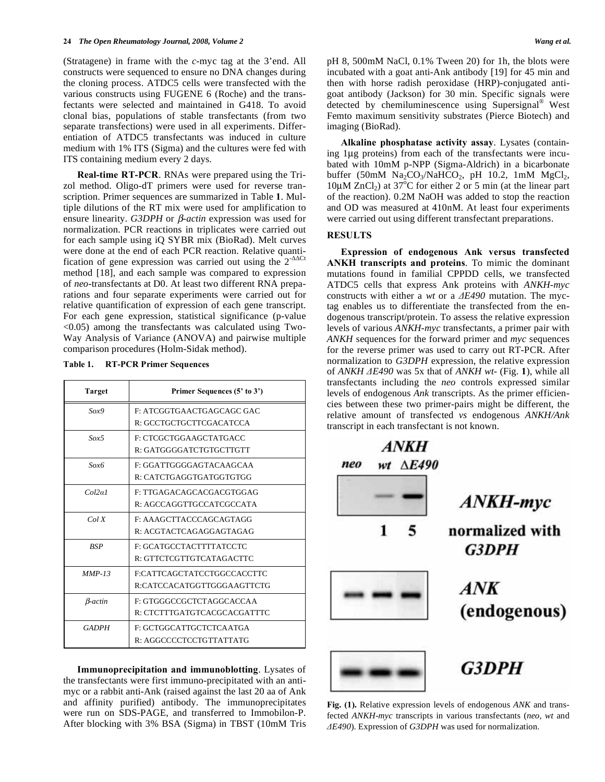(Stratagene) in frame with the *c-*myc tag at the 3'end. All constructs were sequenced to ensure no DNA changes during the cloning process. ATDC5 cells were transfected with the various constructs using FUGENE 6 (Roche) and the transfectants were selected and maintained in G418. To avoid clonal bias, populations of stable transfectants (from two separate transfections) were used in all experiments. Differentiation of ATDC5 transfectants was induced in culture medium with 1% ITS (Sigma) and the cultures were fed with ITS containing medium every 2 days.

 **Real-time RT-PCR**. RNAs were prepared using the Trizol method. Oligo-dT primers were used for reverse transcription. Primer sequences are summarized in Table **1**. Multiple dilutions of the RT mix were used for amplification to ensure linearity. *G3DPH* or  $\beta$ -*actin* expression was used for normalization. PCR reactions in triplicates were carried out for each sample using iQ SYBR mix (BioRad). Melt curves were done at the end of each PCR reaction. Relative quantification of gene expression was carried out using the  $2^{-\Delta\Delta Ct}$ method [18], and each sample was compared to expression of *neo*-transfectants at D0. At least two different RNA preparations and four separate experiments were carried out for relative quantification of expression of each gene transcript. For each gene expression, statistical significance (p-value  $\leq$ 0.05) among the transfectants was calculated using Two-Way Analysis of Variance (ANOVA) and pairwise multiple comparison procedures (Holm-Sidak method).

| Table 1. |  | <b>RT-PCR Primer Sequences</b> |
|----------|--|--------------------------------|
|----------|--|--------------------------------|

| <b>Target</b>     | Primer Sequences (5' to 3') |
|-------------------|-----------------------------|
| Sox9              | F: ATCGGTGAACTGAGCAGC GAC   |
|                   | R: GCCTGCTGCTTCGACATCCA     |
| Sox5              | F: CTCGCTGGAAGCTATGACC      |
|                   | R: GATGGGGATCTGTGCTTGTT     |
| $S\alpha x\delta$ | F: GGATTGGGGAGTACAAGCAA     |
|                   | R: CATCTGAGGTGATGGTGTGG     |
| Col2a1            | F: TTGAGACAGCACGACGTGGAG    |
|                   | R: AGCCAGGTTGCCATCGCCATA    |
| ColX              | F: AAAGCTTACCCAGCAGTAGG     |
|                   | R: ACGTACTCAGAGGAGTAGAG     |
| <b>BSP</b>        | F: GCATGCCTACTTTTATCCTC     |
|                   | R: GTTCTCGTTGTCATAGACTTC    |
| $MMP-13$          | F:CATTCAGCTATCCTGGCCACCTTC  |
|                   | R:CATCCACATGGTTGGGAAGTTCTG  |
| <b>B</b> -actin   | F: GTGGGCCGCTCTAGGCACCAA    |
|                   | R: CTCTTTGATGTCACGCACGATTTC |
| <b>GADPH</b>      | F: GCTGGCATTGCTCTCAATGA     |
|                   | R: AGGCCCCTCCTGTTATTATG     |

 **Immunoprecipitation and immunoblotting**. Lysates of the transfectants were first immuno-precipitated with an antimyc or a rabbit anti-Ank (raised against the last 20 aa of Ank and affinity purified) antibody. The immunoprecipitates were run on SDS-PAGE, and transferred to Immobilon-P. After blocking with 3% BSA (Sigma) in TBST (10mM Tris pH 8, 500mM NaCl, 0.1% Tween 20) for 1h, the blots were incubated with a goat anti-Ank antibody [19] for 45 min and then with horse radish peroxidase (HRP)-conjugated antigoat antibody (Jackson) for 30 min. Specific signals were detected by chemiluminescence using Supersignal® West Femto maximum sensitivity substrates (Pierce Biotech) and imaging (BioRad).

 **Alkaline phosphatase activity assay**. Lysates (containing 1μg proteins) from each of the transfectants were incubated with 10mM p-NPP (Sigma-Aldrich) in a bicarbonate buffer (50mM  $Na<sub>2</sub>CO<sub>3</sub>/NaHCO<sub>2</sub>$ , pH 10.2, 1mM  $MgCl<sub>2</sub>$ ,  $10\mu$ M ZnCl<sub>2</sub>) at 37<sup>o</sup>C for either 2 or 5 min (at the linear part of the reaction). 0.2M NaOH was added to stop the reaction and OD was measured at 410nM. At least four experiments were carried out using different transfectant preparations.

### **RESULTS**

 **Expression of endogenous Ank versus transfected ANKH transcripts and proteins**. To mimic the dominant mutations found in familial CPPDD cells, we transfected ATDC5 cells that express Ank proteins with *ANKH-myc* constructs with either a *wt* or a  $\triangle E490$  mutation. The myctag enables us to differentiate the transfected from the endogenous transcript/protein. To assess the relative expression levels of various *ANKH-myc* transfectants, a primer pair with *ANKH* sequences for the forward primer and *myc* sequences for the reverse primer was used to carry out RT-PCR. After normalization to *G3DPH* expression, the relative expression of *ANKH -E490* was 5x that of *ANKH wt-* (Fig. **1**), while all transfectants including the *neo* controls expressed similar levels of endogenous *Ank* transcripts. As the primer efficiencies between these two primer-pairs might be different, the relative amount of transfected *vs* endogenous *ANKH/Ank* transcript in each transfectant is not known.



**Fig. (1).** Relative expression levels of endogenous *ANK* and transfected *ANKH-myc* transcripts in various transfectants (*neo, wt* and *-E490*). Expression of *G3DPH* was used for normalization.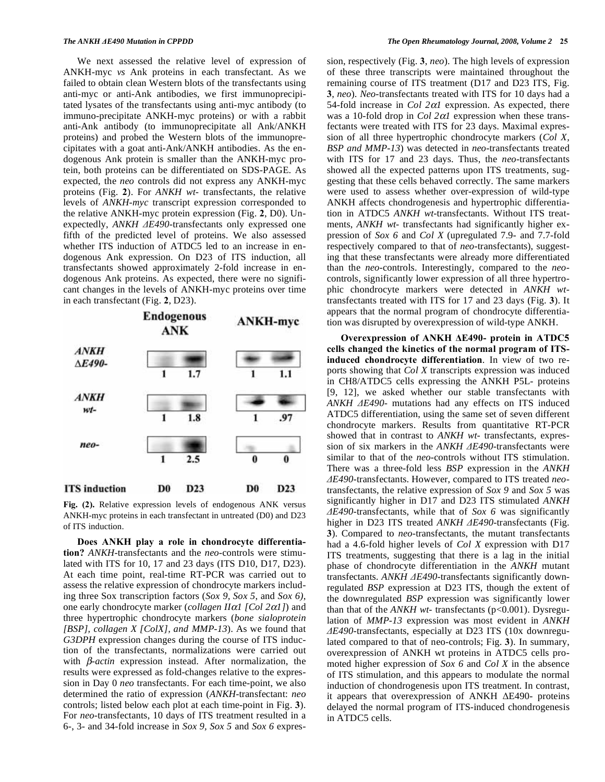We next assessed the relative level of expression of ANKH-myc *vs* Ank proteins in each transfectant. As we failed to obtain clean Western blots of the transfectants using anti-myc or anti-Ank antibodies, we first immunoprecipitated lysates of the transfectants using anti-myc antibody (to immuno-precipitate ANKH-myc proteins) or with a rabbit anti-Ank antibody (to immunoprecipitate all Ank/ANKH proteins) and probed the Western blots of the immunoprecipitates with a goat anti-Ank/ANKH antibodies. As the endogenous Ank protein is smaller than the ANKH-myc protein, both proteins can be differentiated on SDS-PAGE. As expected, the *neo* controls did not express any ANKH-myc proteins (Fig. **2**). For *ANKH wt-* transfectants, the relative levels of *ANKH-myc* transcript expression corresponded to the relative ANKH-myc protein expression (Fig. **2**, D0). Unexpectedly, *ANKH E490-*transfectants only expressed one fifth of the predicted level of proteins. We also assessed whether ITS induction of ATDC5 led to an increase in endogenous Ank expression. On D23 of ITS induction, all transfectants showed approximately 2-fold increase in endogenous Ank proteins. As expected, there were no significant changes in the levels of ANKH-myc proteins over time in each transfectant (Fig. **2**, D23).



**Fig. (2).** Relative expression levels of endogenous ANK versus ANKH-myc proteins in each transfectant in untreated (D0) and D23 of ITS induction.

 **Does ANKH play a role in chondrocyte differentiation?** *ANKH-*transfectants and the *neo*-controls were stimulated with ITS for 10, 17 and 23 days (ITS D10, D17, D23). At each time point, real-time RT-PCR was carried out to assess the relative expression of chondrocyte markers including three Sox transcription factors (*Sox 9, Sox 5*, and *Sox 6)*, one early chondrocyte marker (*collagen II1 [Col 21]*) and three hypertrophic chondrocyte markers (*bone sialoprotein [BSP], collagen X [ColX], and MMP-13*). As we found that *G3DPH* expression changes during the course of ITS induction of the transfectants, normalizations were carried out with  $\beta$ -*actin* expression instead. After normalization, the results were expressed as fold-changes relative to the expression in Day 0 *neo* transfectants. For each time-point, we also determined the ratio of expression (*ANKH-*transfectant: *neo* controls; listed below each plot at each time-point in Fig. **3**). For *neo*-transfectants, 10 days of ITS treatment resulted in a 6-, 3- and 34-fold increase in *Sox 9, Sox 5* and *Sox 6* expression, respectively (Fig. **3**, *neo*). The high levels of expression of these three transcripts were maintained throughout the remaining course of ITS treatment (D17 and D23 ITS, Fig. **3**, *neo*). *Neo-*transfectants treated with ITS for 10 days had a 54-fold increase in *Col*  $2\alpha$ *l* expression. As expected, there was a 10-fold drop in  $Col$  2 $\alpha$ 1 expression when these transfectants were treated with ITS for 23 days. Maximal expression of all three hypertrophic chondrocyte markers (*Col X, BSP and MMP-13*) was detected in *neo*-transfectants treated with ITS for 17 and 23 days. Thus, the *neo*-transfectants showed all the expected patterns upon ITS treatments, suggesting that these cells behaved correctly. The same markers were used to assess whether over-expression of wild-type ANKH affects chondrogenesis and hypertrophic differentiation in ATDC5 *ANKH wt-*transfectants. Without ITS treatments, *ANKH wt-* transfectants had significantly higher expression of *Sox 6* and *Col X* (upregulated 7.9- and 7.7-fold respectively compared to that of *neo-*transfectants), suggesting that these transfectants were already more differentiated than the *neo*-controls. Interestingly, compared to the *neo*controls, significantly lower expression of all three hypertrophic chondrocyte markers were detected in *ANKH wt*transfectants treated with ITS for 17 and 23 days (Fig. **3**). It appears that the normal program of chondrocyte differentiation was disrupted by overexpression of wild-type ANKH.

**Overexpression of ANKH E490- protein in ATDC5 cells changed the kinetics of the normal program of ITSinduced chondrocyte differentiation**. In view of two reports showing that *Col X* transcripts expression was induced in CH8/ATDC5 cells expressing the ANKH P5L- proteins [9, 12], we asked whether our stable transfectants with *ANKH E490*- mutations had any effects on ITS induced ATDC5 differentiation, using the same set of seven different chondrocyte markers. Results from quantitative RT-PCR showed that in contrast to *ANKH wt-* transfectants, expression of six markers in the *ANKH E490-*transfectants were similar to that of the *neo-*controls without ITS stimulation. There was a three-fold less *BSP* expression in the *ANKH E490-*transfectants. However, compared to ITS treated *neo*transfectants, the relative expression of *Sox 9* and *Sox 5* was significantly higher in D17 and D23 ITS stimulated *ANKH E490-*transfectants, while that of *Sox 6* was significantly higher in D23 ITS treated *ANKH E490-*transfectants (Fig. **3**). Compared to *neo-*transfectants, the mutant transfectants had a 4.6-fold higher levels of *Col X* expression with D17 ITS treatments, suggesting that there is a lag in the initial phase of chondrocyte differentiation in the *ANKH* mutant transfectants. *ANKH*  $\triangle E490$ -transfectants significantly downregulated *BSP* expression at D23 ITS, though the extent of the downregulated *BSP* expression was significantly lower than that of the *ANKH wt*-transfectants (p<0.001). Dysregulation of *MMP-13* expression was most evident in *ANKH E490*-transfectants, especially at D23 ITS (10x downregulated compared to that of neo-controls; Fig. **3**). In summary, overexpression of ANKH wt proteins in ATDC5 cells promoted higher expression of *Sox 6* and *Col X* in the absence of ITS stimulation, and this appears to modulate the normal induction of chondrogenesis upon ITS treatment. In contrast, it appears that overexpression of ANKH  $\Delta E490$ - proteins delayed the normal program of ITS-induced chondrogenesis in ATDC5 cells.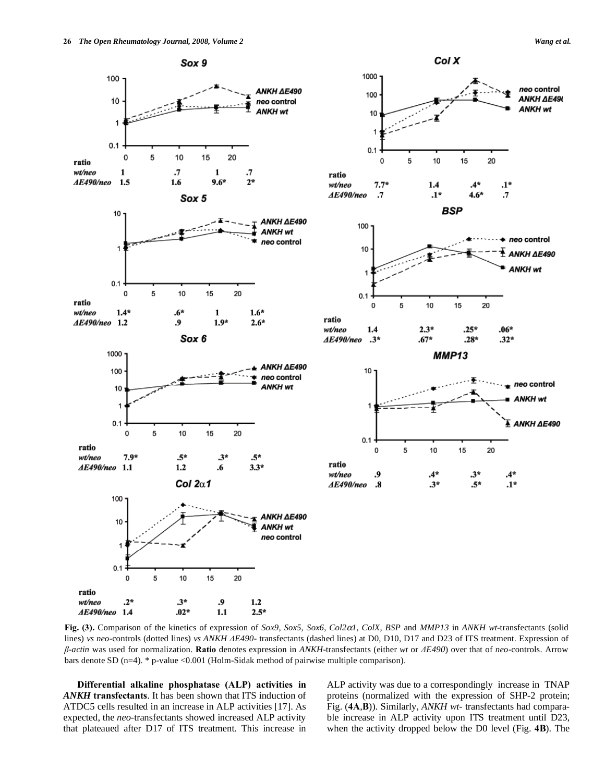

**Fig. (3).** Comparison of the kinetics of expression of *Sox9, Sox5, Sox6, Col21, ColX, BSP* and *MMP13* in *ANKH wt-*transfectants (solid lines) *vs neo*-controls (dotted lines) *vs ANKH E490-* transfectants (dashed lines) at D0, D10, D17 and D23 of ITS treatment. Expression of *--actin* was used for normalization. **Ratio** denotes expression in *ANKH*-transfectants (either *wt* or *E490*) over that of *neo*-controls. Arrow bars denote SD (n=4). \* p-value <0.001 (Holm-Sidak method of pairwise multiple comparison).

 **Differential alkaline phosphatase (ALP) activities in**  *ANKH* **transfectants**. It has been shown that ITS induction of ATDC5 cells resulted in an increase in ALP activities [17]. As expected, the *neo-*transfectants showed increased ALP activity that plateaued after D17 of ITS treatment. This increase in

ALP activity was due to a correspondingly increase in TNAP proteins (normalized with the expression of SHP-2 protein; Fig. (**4A**,**B**)). Similarly, *ANKH wt-* transfectants had comparable increase in ALP activity upon ITS treatment until D23, when the activity dropped below the D0 level (Fig. **4B**). The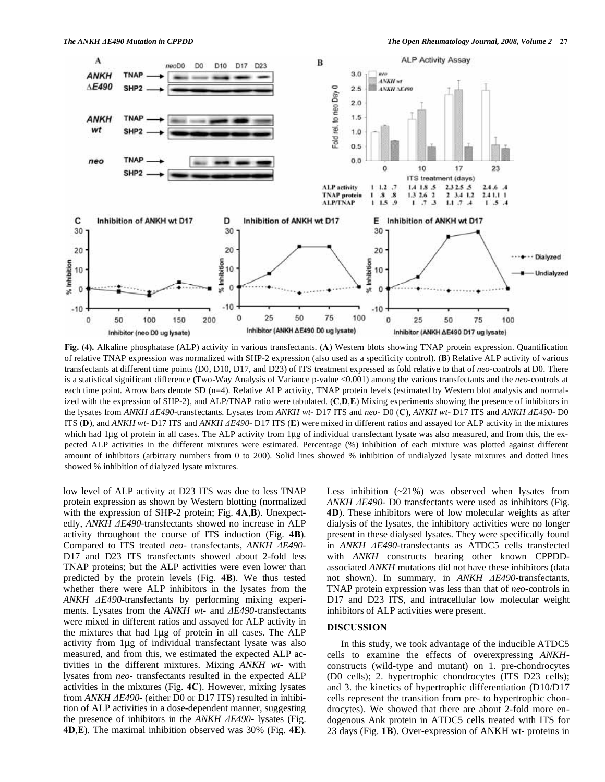

**Fig. (4).** Alkaline phosphatase (ALP) activity in various transfectants. (**A**) Western blots showing TNAP protein expression. Quantification of relative TNAP expression was normalized with SHP-2 expression (also used as a specificity control). (**B**) Relative ALP activity of various transfectants at different time points (D0, D10, D17, and D23) of ITS treatment expressed as fold relative to that of *neo*-controls at D0. There is a statistical significant difference (Two-Way Analysis of Variance p-value <0.001) among the various transfectants and the *neo*-controls at each time point. Arrow bars denote SD (n=4). Relative ALP activity, TNAP protein levels (estimated by Western blot analysis and normalized with the expression of SHP-2), and ALP/TNAP ratio were tabulated. (**C**,**D**,**E**) Mixing experiments showing the presence of inhibitors in the lysates from *ANKH E490-*transfectants. Lysates from *ANKH wt-* D17 ITS and *neo-* D0 (**C**), *ANKH wt-* D17 ITS and *ANKH E490-* D0 ITS (**D**), and *ANKH wt-* D17 ITS and *ANKH E490-* D17 ITS (**E**) were mixed in different ratios and assayed for ALP activity in the mixtures which had 1μg of protein in all cases. The ALP activity from 1μg of individual transfectant lysate was also measured, and from this, the expected ALP activities in the different mixtures were estimated. Percentage (%) inhibition of each mixture was plotted against different amount of inhibitors (arbitrary numbers from 0 to 200). Solid lines showed % inhibition of undialyzed lysate mixtures and dotted lines showed % inhibition of dialyzed lysate mixtures.

low level of ALP activity at D23 ITS was due to less TNAP protein expression as shown by Western blotting (normalized with the expression of SHP-2 protein; Fig. **4A**,**B**). Unexpectedly, *ANKH E490-*transfectants showed no increase in ALP activity throughout the course of ITS induction (Fig. **4B**). Compared to ITS treated *neo-* transfectants, *ANKH E490-* D17 and D23 ITS transfectants showed about 2-fold less TNAP proteins; but the ALP activities were even lower than predicted by the protein levels (Fig. **4B**). We thus tested whether there were ALP inhibitors in the lysates from the *ANKH E490-*transfectants by performing mixing experiments. Lysates from the *ANKH wt-* and *AE490-transfectants* were mixed in different ratios and assayed for ALP activity in the mixtures that had 1μg of protein in all cases. The ALP activity from 1μg of individual transfectant lysate was also measured, and from this, we estimated the expected ALP activities in the different mixtures. Mixing *ANKH wt-* with lysates from *neo-* transfectants resulted in the expected ALP activities in the mixtures (Fig. **4C**). However, mixing lysates from *ANKH*  $\triangle E490$ *-* (either D0 or D17 ITS) resulted in inhibition of ALP activities in a dose-dependent manner, suggesting the presence of inhibitors in the *ANKH E490-* lysates (Fig. **4D**,**E**). The maximal inhibition observed was 30% (Fig. **4E**). Less inhibition (~21%) was observed when lysates from *ANKH E490-* D0 transfectants were used as inhibitors (Fig. **4D**). These inhibitors were of low molecular weights as after dialysis of the lysates, the inhibitory activities were no longer present in these dialysed lysates. They were specifically found in *ANKH E490-*transfectants as ATDC5 cells transfected with *ANKH* constructs bearing other known CPPDDassociated *ANKH* mutations did not have these inhibitors (data not shown). In summary, in *ANKH E490-*transfectants, TNAP protein expression was less than that of *neo-*controls in D17 and D23 ITS, and intracellular low molecular weight inhibitors of ALP activities were present.

### **DISCUSSION**

 In this study, we took advantage of the inducible ATDC5 cells to examine the effects of overexpressing *ANKH*constructs (wild-type and mutant) on 1. pre-chondrocytes (D0 cells); 2. hypertrophic chondrocytes (ITS D23 cells); and 3. the kinetics of hypertrophic differentiation (D10/D17 cells represent the transition from pre- to hypertrophic chondrocytes). We showed that there are about 2-fold more endogenous Ank protein in ATDC5 cells treated with ITS for 23 days (Fig. **1B**). Over-expression of ANKH wt- proteins in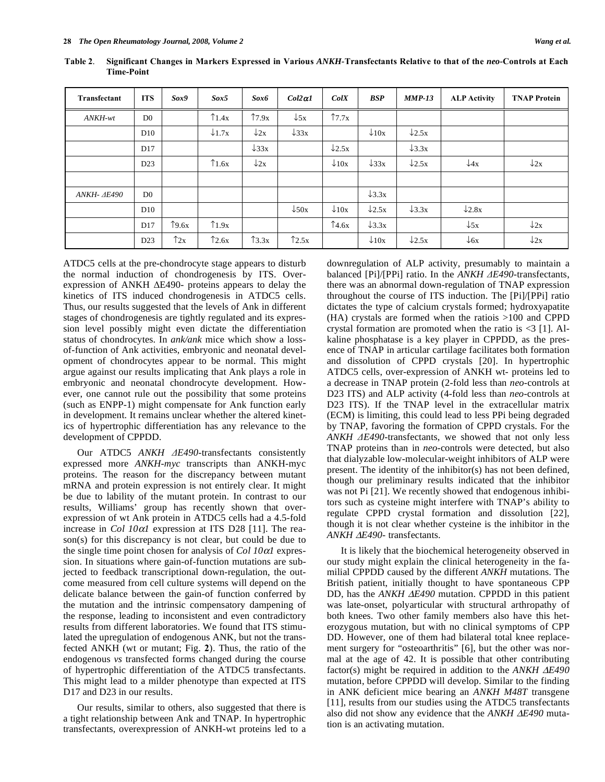| Transfectant | <b>ITS</b>     | Sox9                     | Sox5              | Sox6             | $Col2 \alpha l$  | ColX              | <b>BSP</b>        | $MMP-13$          | <b>ALP Activity</b> | <b>TNAP Protein</b> |
|--------------|----------------|--------------------------|-------------------|------------------|------------------|-------------------|-------------------|-------------------|---------------------|---------------------|
| ANKH-wt      | D <sub>0</sub> |                          | $\uparrow$ 1.4x   | $\uparrow$ 7.9x  | $\downarrow$ 5x  | $\uparrow$ 7.7x   |                   |                   |                     |                     |
|              | D10            |                          | $\downarrow$ 1.7x | $\downarrow$ 2x  | $\downarrow$ 33x |                   | $\downarrow$ 10x  | $\downarrow$ 2.5x |                     |                     |
|              | D17            |                          |                   | $\downarrow$ 33x |                  | $\downarrow$ 2.5x |                   | $\downarrow$ 3.3x |                     |                     |
|              | D23            |                          | $\uparrow$ 1.6x   | $\downarrow$ 2x  |                  | $\downarrow$ 10x  | $\downarrow$ 33x  | $\downarrow$ 2.5x | $\downarrow$ 4x     | $\downarrow$ 2x     |
|              |                |                          |                   |                  |                  |                   |                   |                   |                     |                     |
| ANKH- AE490  | D <sub>0</sub> |                          |                   |                  |                  |                   | $\downarrow$ 3.3x |                   |                     |                     |
|              | D10            |                          |                   |                  | $\downarrow$ 50x | $\downarrow$ 10x  | $\downarrow$ 2.5x | $\downarrow$ 3.3x | $\downarrow$ 2.8x   |                     |
|              | D17            | $\uparrow$ 9.6x          | $\uparrow$ 1.9x   |                  |                  | $\uparrow$ 4.6x   | $\downarrow$ 3.3x |                   | $\downarrow$ 5x     | $\downarrow$ 2x     |
|              | D23            | $\uparrow$ <sub>2x</sub> | $\uparrow$ 2.6x   | $\uparrow$ 3.3x  | $\uparrow$ 2.5x  |                   | $\downarrow$ 10x  | $\downarrow$ 2.5x | $\downarrow$ 6x     | $\downarrow$ 2x     |

**Table 2**. **Significant Changes in Markers Expressed in Various** *ANKH-***Transfectants Relative to that of the** *neo-***Controls at Each Time-Point** 

ATDC5 cells at the pre-chondrocyte stage appears to disturb the normal induction of chondrogenesis by ITS. Overexpression of ANKH  $\Delta$ E490- proteins appears to delay the kinetics of ITS induced chondrogenesis in ATDC5 cells. Thus, our results suggested that the levels of Ank in different stages of chondrogenesis are tightly regulated and its expression level possibly might even dictate the differentiation status of chondrocytes. In *ank/ank* mice which show a lossof-function of Ank activities, embryonic and neonatal development of chondrocytes appear to be normal. This might argue against our results implicating that Ank plays a role in embryonic and neonatal chondrocyte development. However, one cannot rule out the possibility that some proteins (such as ENPP-1) might compensate for Ank function early in development. It remains unclear whether the altered kinetics of hypertrophic differentiation has any relevance to the development of CPPDD.

 Our ATDC5 *ANKH E490*-transfectants consistently expressed more *ANKH*-*myc* transcripts than ANKH-myc proteins. The reason for the discrepancy between mutant mRNA and protein expression is not entirely clear. It might be due to lability of the mutant protein. In contrast to our results, Williams' group has recently shown that overexpression of wt Ank protein in ATDC5 cells had a 4.5-fold increase in *Col 10* $\alpha$ *l* expression at ITS D28 [11]. The reason(s) for this discrepancy is not clear, but could be due to the single time point chosen for analysis of  $Col$  10 $\alpha$ l expression. In situations where gain-of-function mutations are subjected to feedback transcriptional down-regulation, the outcome measured from cell culture systems will depend on the delicate balance between the gain-of function conferred by the mutation and the intrinsic compensatory dampening of the response, leading to inconsistent and even contradictory results from different laboratories. We found that ITS stimulated the upregulation of endogenous ANK, but not the transfected ANKH (wt or mutant; Fig. **2**). Thus, the ratio of the endogenous *vs* transfected forms changed during the course of hypertrophic differentiation of the ATDC5 transfectants. This might lead to a milder phenotype than expected at ITS D17 and D23 in our results.

 Our results, similar to others, also suggested that there is a tight relationship between Ank and TNAP. In hypertrophic transfectants, overexpression of ANKH-wt proteins led to a downregulation of ALP activity, presumably to maintain a balanced [Pi]/[PPi] ratio. In the *ANKH E490-*transfectants, there was an abnormal down-regulation of TNAP expression throughout the course of ITS induction. The [Pi]/[PPi] ratio dictates the type of calcium crystals formed; hydroxyapatite (HA) crystals are formed when the ratiois >100 and CPPD crystal formation are promoted when the ratio is  $\leq$  1. Alkaline phosphatase is a key player in CPPDD, as the presence of TNAP in articular cartilage facilitates both formation and dissolution of CPPD crystals [20]. In hypertrophic ATDC5 cells, over-expression of ANKH wt- proteins led to a decrease in TNAP protein (2-fold less than *neo*-controls at D23 ITS) and ALP activity (4-fold less than *neo-*controls at D23 ITS). If the TNAP level in the extracellular matrix (ECM) is limiting, this could lead to less PPi being degraded by TNAP, favoring the formation of CPPD crystals. For the *ANKH E490-*transfectants, we showed that not only less TNAP proteins than in *neo*-controls were detected, but also that dialyzable low-molecular-weight inhibitors of ALP were present. The identity of the inhibitor(s) has not been defined, though our preliminary results indicated that the inhibitor was not Pi [21]. We recently showed that endogenous inhibitors such as cysteine might interfere with TNAP's ability to regulate CPPD crystal formation and dissolution [22], though it is not clear whether cysteine is the inhibitor in the *ANKH*  $\triangle E490$ *-* transfectants.

 It is likely that the biochemical heterogeneity observed in our study might explain the clinical heterogeneity in the familial CPPDD caused by the different *ANKH* mutations. The British patient, initially thought to have spontaneous CPP DD, has the *ANKH*  $\triangle E490$  mutation. CPPDD in this patient was late-onset, polyarticular with structural arthropathy of both knees. Two other family members also have this heterozygous mutation, but with no clinical symptoms of CPP DD. However, one of them had bilateral total knee replacement surgery for "osteoarthritis" [6], but the other was normal at the age of 42. It is possible that other contributing factor(s) might be required in addition to the *ANKH E490* mutation, before CPPDD will develop. Similar to the finding in ANK deficient mice bearing an *ANKH M48T* transgene [11], results from our studies using the ATDC5 transfectants also did not show any evidence that the *ANKH E490* mutation is an activating mutation.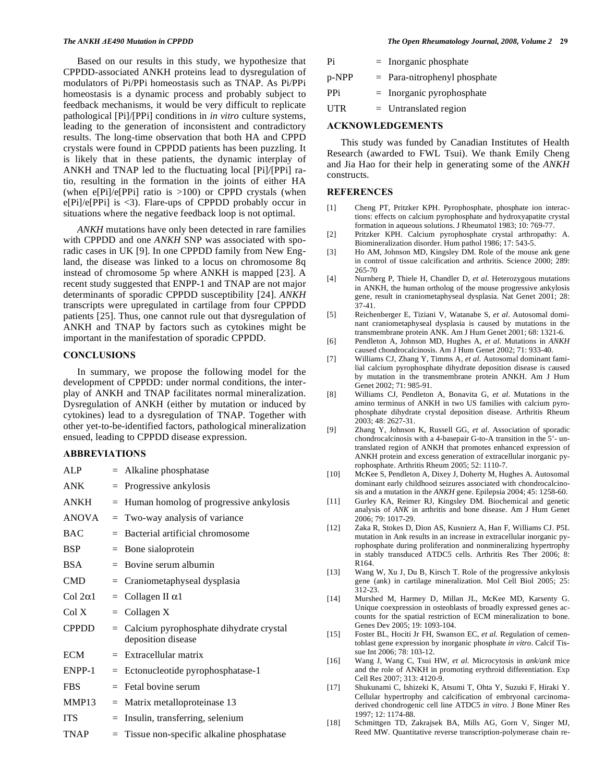Based on our results in this study, we hypothesize that CPPDD-associated ANKH proteins lead to dysregulation of modulators of Pi/PPi homeostasis such as TNAP. As Pi/PPi homeostasis is a dynamic process and probably subject to feedback mechanisms, it would be very difficult to replicate pathological [Pi]/[PPi] conditions in *in vitro* culture systems, leading to the generation of inconsistent and contradictory results. The long-time observation that both HA and CPPD crystals were found in CPPDD patients has been puzzling. It is likely that in these patients, the dynamic interplay of ANKH and TNAP led to the fluctuating local [Pi]/[PPi] ratio, resulting in the formation in the joints of either HA (when  $e[Pi]/e[PPi]$  ratio is  $>100$ ) or CPPD crystals (when e[Pi]/e[PPi] is <3). Flare-ups of CPPDD probably occur in situations where the negative feedback loop is not optimal.

 *ANKH* mutations have only been detected in rare families with CPPDD and one *ANKH* SNP was associated with sporadic cases in UK [9]. In one CPPDD family from New England, the disease was linked to a locus on chromosome 8q instead of chromosome 5p where ANKH is mapped [23]. A recent study suggested that ENPP-1 and TNAP are not major determinants of sporadic CPPDD susceptibility [24]. *ANKH* transcripts were upregulated in cartilage from four CPPDD patients [25]. Thus, one cannot rule out that dysregulation of ANKH and TNAP by factors such as cytokines might be important in the manifestation of sporadic CPPDD.

### **CONCLUSIONS**

 In summary, we propose the following model for the development of CPPDD: under normal conditions, the interplay of ANKH and TNAP facilitates normal mineralization. Dysregulation of ANKH (either by mutation or induced by cytokines) lead to a dysregulation of TNAP. Together with other yet-to-be-identified factors, pathological mineralization ensued, leading to CPPDD disease expression.

### **ABBREVIATIONS**

| ALP             |         | $=$ Alkaline phosphatase                                        |
|-----------------|---------|-----------------------------------------------------------------|
| ANK             |         | $=$ Progressive ankylosis                                       |
| <b>ANKH</b>     |         | $=$ Human homolog of progressive ankylosis                      |
| <b>ANOVA</b>    |         | $=$ Two-way analysis of variance                                |
| <b>BAC</b>      | $=$ $-$ | Bacterial artificial chromosome                                 |
| BSP             |         | $=$ Bone sialoprotein                                           |
| <b>BSA</b>      |         | $=$ Bovine serum albumin                                        |
| <b>CMD</b>      |         | $=$ Craniometaphyseal dysplasia                                 |
| Col $2\alpha$ 1 |         | $=$ Collagen II $\alpha$ 1                                      |
| ColX            |         | $=$ Collagen X                                                  |
| <b>CPPDD</b>    |         | = Calcium pyrophosphate dihydrate crystal<br>deposition disease |
| <b>ECM</b>      |         | $=$ Extracellular matrix                                        |
| ENPP-1          |         | $=$ Ectonucleotide pyrophosphatase-1                            |
| <b>FBS</b>      |         | $=$ Fetal bovine serum                                          |
| MMP13           |         | $=$ Matrix metalloproteinase 13                                 |
| <b>ITS</b>      | $=$     | Insulin, transferring, selenium                                 |
| <b>TNAP</b>     |         | $=$ Tissue non-specific alkaline phosphatase                    |

| Pi    | $=$ Inorganic phosphate        |
|-------|--------------------------------|
| p-NPP | $=$ Para-nitrophenyl phosphate |
| PPi.  | $=$ Inorganic pyrophosphate    |
| UTR   | $=$ Untranslated region        |

# **ACKNOWLEDGEMENTS**

 This study was funded by Canadian Institutes of Health Research (awarded to FWL Tsui). We thank Emily Cheng and Jia Hao for their help in generating some of the *ANKH* constructs.

### **REFERENCES**

- [1] Cheng PT, Pritzker KPH. Pyrophosphate, phosphate ion interactions: effects on calcium pyrophosphate and hydroxyapatite crystal formation in aqueous solutions. J Rheumatol 1983; 10: 769-77.
- [2] Pritzker KPH. Calcium pyrophosphate crystal arthropathy: A. Biomineralization disorder. Hum pathol 1986; 17: 543-5.
- [3] Ho AM, Johnson MD, Kingsley DM. Role of the mouse ank gene in control of tissue calcification and arthritis. Science 2000; 289: 265-70
- [4] Nurnberg P, Thiele H, Chandler D, *et al.* Heterozygous mutations in ANKH, the human ortholog of the mouse progressive ankylosis gene, result in craniometaphyseal dysplasia. Nat Genet 2001; 28: 37-41.
- [5] Reichenberger E, Tiziani V, Watanabe S, *et al*. Autosomal dominant craniometaphyseal dysplasia is caused by mutations in the transmembrane protein ANK. Am J Hum Genet 2001; 68: 1321-6.
- [6] Pendleton A, Johnson MD, Hughes A, *et al*. Mutations in *ANKH* caused chondrocalcinosis. Am J Hum Genet 2002; 71: 933-40.
- [7] Williams CJ, Zhang Y, Timms A, *et al*. Autosomal dominant familial calcium pyrophosphate dihydrate deposition disease is caused by mutation in the transmembrane protein ANKH. Am J Hum Genet 2002; 71: 985-91.
- [8] Williams CJ, Pendleton A, Bonavita G, *et al.* Mutations in the amino terminus of ANKH in two US families with calcium pyrophosphate dihydrate crystal deposition disease. Arthritis Rheum 2003; 48: 2627-31.
- [9] Zhang Y, Johnson K, Russell GG, *et al*. Association of sporadic chondrocalcinosis with a 4-basepair G-to-A transition in the 5'- untranslated region of ANKH that promotes enhanced expression of ANKH protein and excess generation of extracellular inorganic pyrophosphate. Arthritis Rheum 2005; 52: 1110-7.
- [10] McKee S, Pendleton A, Dixey J, Doherty M, Hughes A. Autosomal dominant early childhood seizures associated with chondrocalcinosis and a mutation in the *ANKH* gene. Epilepsia 2004; 45: 1258-60.
- [11] Gurley KA, Reimer RJ, Kingsley DM. Biochemical and genetic analysis of *ANK* in arthritis and bone disease. Am J Hum Genet 2006; 79: 1017-29.
- [12] Zaka R, Stokes D, Dion AS, Kusnierz A, Han F, Williams CJ. P5L mutation in Ank results in an increase in extracellular inorganic pyrophosphate during proliferation and nonmineralizing hypertrophy in stably transduced ATDC5 cells. Arthritis Res Ther 2006; 8: R164.
- [13] Wang W, Xu J, Du B, Kirsch T. Role of the progressive ankylosis gene (ank) in cartilage mineralization. Mol Cell Biol 2005; 25: 312-23.
- [14] Murshed M, Harmey D, Millan JL, McKee MD, Karsenty G. Unique coexpression in osteoblasts of broadly expressed genes accounts for the spatial restriction of ECM mineralization to bone. Genes Dev 2005; 19: 1093-104.
- [15] Foster BL, Hociti Jr FH, Swanson EC, et al. Regulation of cementoblast gene expression by inorganic phosphate *in vitro*. Calcif Tissue Int 2006; 78: 103-12.
- [16] Wang J, Wang C, Tsui HW, *et al*. Microcytosis in *ank/ank* mice and the role of ANKH in promoting erythroid differentiation. Exp Cell Res 2007; 313: 4120-9.
- [17] Shukunami C, Ishizeki K, Atsumi T, Ohta Y, Suzuki F, Hiraki Y. Cellular hypertrophy and calcification of embryonal carcinomaderived chondrogenic cell line ATDC5 *in vitro*. J Bone Miner Res 1997; 12: 1174-88.
- [18] Schmittgen TD, Zakrajsek BA, Mills AG, Gorn V, Singer MJ, Reed MW. Quantitative reverse transcription-polymerase chain re-